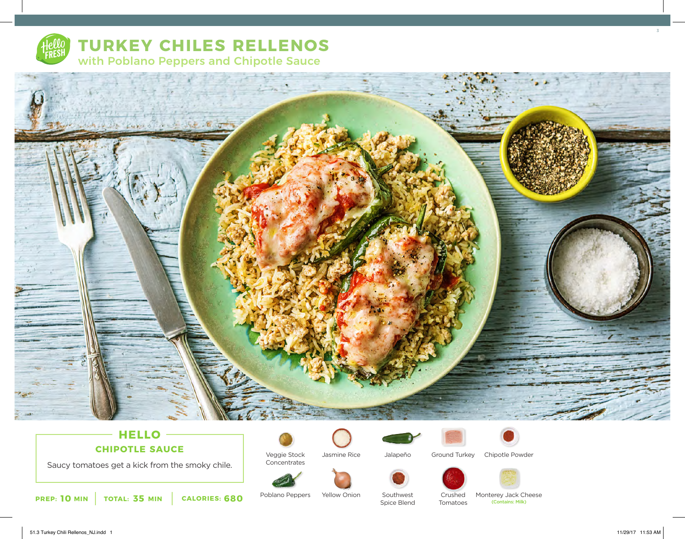

# **TURKEY CHILES RELLENOS** with Poblano Peppers and Chipotle Sauce



## **HELLO CHIPOTLE SAUCE**

Saucy tomatoes get a kick from the smoky chile.

**10** MIN | TOTAL: 35 MIN | CALORIES: 680



Concentrates

Poblano Peppers

Jasmine Rice

Yellow Onion



Jalapeño

Southwest Spice Blend



Ground Turkey







Crushed Tomatoes Monterey Jack Cheese<br>
(Contains: Milk)

3